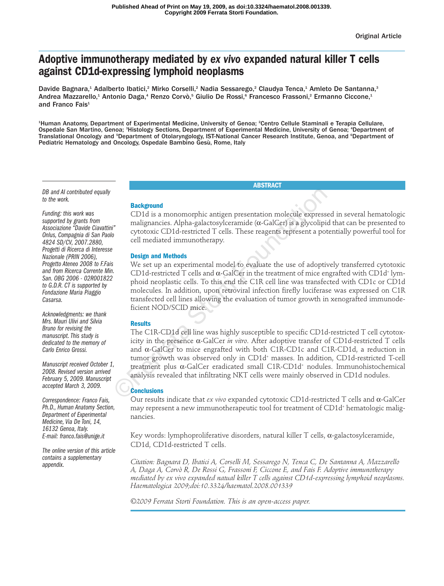# **Adoptive immunotherapy mediated by** *ex vivo* **expanded natural killer T cells against CD1d-expressing lymphoid neoplasms**

Davide Bagnara,<sup>1</sup> Adalberto Ibatici,<sup>2</sup> Mirko Corselli,<sup>2</sup> Nadia Sessarego,<sup>2</sup> Claudya Tenca,<sup>1</sup> Amleto De Santanna,<sup>3</sup> Andrea Mazzarello,<sup>1</sup> Antonio Daga,<sup>4</sup> Renzo Corvò,<sup>5</sup> Giulio De Rossi,<sup>6</sup> Francesco Frassoni,<sup>2</sup> Ermanno Ciccone,<sup>1</sup> and Franco Fais<sup>1</sup>

1 Human Anatomy, Department of Experimental Medicine, University of Genoa; 2 Centro Cellule Staminali e Terapia Cellulare, Ospedale San Martino, Genoa; <sup>3</sup>Histology Sections, Department of Experimental Medicine, University of Genoa; <sup>4</sup>Department of Translational Oncology and <sup>s</sup>Department of Otolaryngology, IST-National Cancer Research Institute, Genoa, and <sup>s</sup>Department of Pediatric Hematology and Oncology, Ospedale Bambino Gesù, Rome, Italy

**ABSTRACT**

*DB and AI contributed equally to the work.*

*Funding: this work was supported by grants from Associazione "Davide Ciavattini" Onlus, Compagnia di San Paolo 4824 SD/CV, 2007.2880, Progetti di Ricerca di Interesse Nazionale (PRIN 2006), Progetto Ateneo 2008 to F.Fais and from Ricerca Corrente Min. San. OBG 2006 - 02R001822 to G.D.R. CT is supported by Fondazione Maria Piaggio Casarsa.*

*Acknowledgments: we thank Mrs. Mauri Ulivi and Silvia Bruno for revising the manuscript. This study is dedicated to the memory of Carlo Enrico Grossi.*

*Manuscript received October 1, 2008. Revised version arrived February 5, 2009. Manuscript accepted March 3, 2009.*

*Correspondence: Franco Fais, Ph.D., Human Anatomy Section, Department of Experimental Medicine, Via De Toni, 14, 16132 Genoa, Italy. E-mail: franco.fais@unige.it* 

*The online version of this article contains a supplementary appendix.*

# **Background**

CD1d is a monomorphic antigen presentation molecule expressed in several hematologic malignancies. Alpha-galactosylceramide ( $\alpha$ -GalCer) is a glycolipid that can be presented to cytotoxic CD1d-restricted T cells. These reagents represent a potentially powerful tool for cell mediated immunotherapy.

# **Design and Methods**

We set up an experimental model to evaluate the use of adoptively transferred cytotoxic CD1d-restricted T cells and  $\alpha$ -GalCer in the treatment of mice engrafted with CD1d<sup>+</sup> lymphoid neoplastic cells. To this end the C1R cell line was transfected with CD1c or CD1d molecules. In addition, upon retroviral infection firefly luciferase was expressed on C1R transfected cell lines allowing the evaluation of tumor growth in xenografted immunodeficient NOD/SCID mice.

# **Results**

The C1R-CD1d cell line was highly susceptible to specific CD1d-restricted T cell cytotoxicity in the presence α-GalCer *in vitro*. After adoptive transfer of CD1d-restricted T cells and α-GalCer to mice engrafted with both C1R-CD1c and C1R-CD1d, a reduction in tumor growth was observed only in CD1d+ masses. In addition, CD1d-restricted T-cell treatment plus α-GalCer eradicated small C1R-CD1d+ nodules. Immunohistochemical analysis revealed that infiltrating NKT cells were mainly observed in CD1d nodules. **Background**<br>
CDId is a monomorphic antigen presentation molecule expressed<br>
conditional monomorphic antigen presentation molecule expressed<br>
conditions and particle of Tells. These reagents represent a poter<br>
cell mediat

# **Conclusions**

Our results indicate that *ex vivo* expanded cytotoxic CD1d-restricted T cells and α-GalCer may represent a new immunotherapeutic tool for treatment of CD1d<sup>+</sup> hematologic malignancies.

Key words: lymphoproliferative disorders, natural killer T cells,  $\alpha$ -galactosylceramide, CD1d, CD1d-restricted T cells.

*Citation: Bagnara D, Ibatici A, Corselli M, Sessarego N, Tenca C, De Santanna A, Mazzarello A, Daga A, Corvò R, De Rossi G, Frassoni F, Ciccone E, and Fais F. Adoptive immunotherapy mediated by ex vivo expanded natual killer T cells against CD1d-expressing lymphoid neoplasms. Haematologica 2009;doi:10.3324/haematol.2008.001339*

*©2009 Ferrata Storti Foundation. This is an open-access paper.*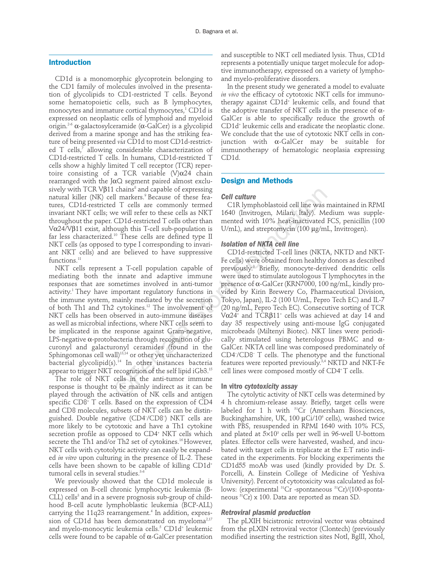# **Introduction**

CD1d is a monomorphic glycoprotein belonging to the CD1 family of molecules involved in the presentation of glycolipids to CD1-restricted T cells. Beyond some hematopoietic cells, such as B lymphocytes, monocytes and immature cortical thymocytes,<sup>1</sup> CD1d is expressed on neoplastic cells of lymphoid and myeloid origin.2-6 α-galactosylceramide (α-GalCer) is a glycolipid derived from a marine sponge and has the striking feature of being presented *via* CD1d to most CD1d-restricted  $T$  cells,<sup> $\bar{7}$ </sup> allowing considerable characterization of CD1d-restricted T cells. In humans, CD1d-restricted T cells show a highly limited T cell receptor (TCR) repertoire consisting of a TCR variable  $(V)\alpha$ 24 chain rearranged with the JαQ segment paired almost exclusively with TCR V $\beta$ 11 chains<sup>8</sup> and capable of expressing natural killer (NK) cell markers.<sup>9</sup> Because of these features, CD1d-restricted T cells are commonly termed invariant NKT cells; we will refer to these cells as NKT throughout the paper. CD1d-restricted T cells other than Vα24/Vβ11 exist, although this T-cell sub-population is far less characterized.<sup>10</sup> These cells are defined type II NKT cells (as opposed to type I corresponding to invariant NKT cells) and are believed to have suppressive functions.<sup>11</sup>

NKT cells represent a T-cell population capable of mediating both the innate and adaptive immune responses that are sometimes involved in anti-tumor activity.<sup>1</sup> They have important regulatory functions in the immune system, mainly mediated by the secretion of both Th1 and Th2 cytokines.12 The involvement of NKT cells has been observed in auto-immune diseases as well as microbial infections, where NKT cells seem to be implicated in the response against Gram-negative, LPS-negative α-protobacteria through recognition of glucuronyl and galacturonyl ceramides (found in the Sphingomonas cell wall)<sup>13,14</sup> or other yet uncharacterized bacterial glycolipid(s).14 In other instances bacteria appear to trigger NKT recognition of the self lipid iGb3. $^{15}$ 

The role of NKT cells in the anti-tumor immune response is thought to be mainly indirect as it can be played through the activation of NK cells and antigen specific CD8<sup>+</sup> T cells. Based on the expression of CD4 and CD8 molecules, subsets of NKT cells can be distinguished. Double negative (CD4– /CD8– ) NKT cells are more likely to be cytotoxic and have a Th1 cytokine secretion profile as opposed to CD4<sup>+</sup> NKT cells which secrete the Th1 and/or Th2 set of cytokines.<sup>16</sup> However, NKT cells with cytotolytic activity can easily be expanded *in vitro* upon culturing in the presence of IL-2. These cells have been shown to be capable of killing CD1d<sup>+</sup> tumoral cells in several studies.<sup>3-6</sup>

We previously showed that the CD1d molecule is expressed on B-cell chronic lymphocytic leukemia (B-CLL) cells<sup>3</sup> and in a severe prognosis sub-group of childhood B-cell acute lymphoblastic leukemia (BCP-ALL) carrying the 11q23 rearrangement.<sup>4</sup> In addition, expression of CD1d has been demonstrated on myeloma<sup>2,17</sup> and myelo-monocytic leukemia cells.<sup>5</sup> CD1d<sup>+</sup> leukemic cells were found to be capable of  $\alpha$ -GalCer presentation

and susceptible to NKT cell mediated lysis. Thus, CD1d represents a potentially unique target molecule for adoptive immunotherapy, expressed on a variety of lymphoand myelo-proliferative disorders.

In the present study we generated a model to evaluate *in vivo* the efficacy of cytotoxic NKT cells for immunotherapy against CD1d<sup>+</sup> leukemic cells, and found that the adoptive transfer of NKT cells in the presence of α-GalCer is able to specifically reduce the growth of CD1d+ leukemic cells and eradicate the neoplastic clone. We conclude that the use of cytotoxic NKT cells in conjunction with α-GalCer may be suitable for immunotherapy of hematologic neoplasia expressing CD1d.

# **Design and Methods**

#### *Cell culture*

C1R lymphoblastoid cell line was maintained in RPMI 1640 (Invitrogen, Milan, Italy). Medium was supplemented with 10% heat-inactivated FCS, penicillin (100 U/mL), and streptomycin (100 µg/mL, Invitrogen).

#### *Isolation of NKTA cell line*

CD1d-restricted T-cell lines (NKTA, NKTD and NKT-Fe cells) were obtained from healthy donors as described previously. <sup>3</sup> Briefly, monocyte-derived dendritic cells were used to stimulate autologous T lymphocytes in the presence of α-GalCer (KRN7000, 100 ng/mL, kindly provided by Kirin Brewery Co, Pharmaceutical Division, Tokyo, Japan), IL-2 (100 U/mL, Pepro Tech EC) and IL-7 (20 ng/mL, Pepro Tech EC). Consecutive sorting of TCR Vα24+ and TCRβ11+ cells was achieved at day 14 and day 35 respectively using anti-mouse IgG conjugated microbeads (Miltenyi Biotec). NKT lines were periodically stimulated using heterologous PBMC and α-GalCer. NKTA cell line was composed predominately of CD4– /CD8– T cells. The phenotype and the functional features were reported previously.<sup>3,4</sup> NKTD and NKT-Fe cell lines were composed mostly of CD4+T cells. Chains' and capable of expressing<br>
Il markers,<sup>3</sup> Because of these fea-<br>
CIR lymphoblastoid cell line was revervil refer to these cells as NKT 1640 (Invitrogen, Milan, Italy). Me<br>
CDI cells are commonly termed with 10% he

#### **In vitro** *cytotoxicity assay*

The cytolytic activity of NKT cells was determined by 4 h chromium-release assay. Briefly, target cells were labeled for 1 h with  ${}^{51}Cr$  (Amersham Biosciences, Buckinghamshire, UK, 100 µCi/10<sup>6</sup> cells), washed twice with PBS, resuspended in RPMI 1640 with 10% FCS, and plated at  $5\times10^3$  cells per well in 96-well U-bottom plates. Effector cells were harvested, washed, and incubated with target cells in triplicate at the E:T ratio indicated in the experiments. For blocking experiments the CD1d55 moAb was used (kindly provided by Dr. S. Porcelli, A. Einstein College of Medicine of Yeshiva University). Percent of cytotoxicity was calculated as follows: (experimental 51Cr -spontaneous 51Cr)/(100-spontaneous 51Cr) x 100. Data are reported as mean SD*.*

## *Retroviral plasmid production*

The pLXIH bicistronic retroviral vector was obtained from the pLXIN retroviral vector (Clontech) (previously modified inserting the restriction sites NotI, BglII, XhoI,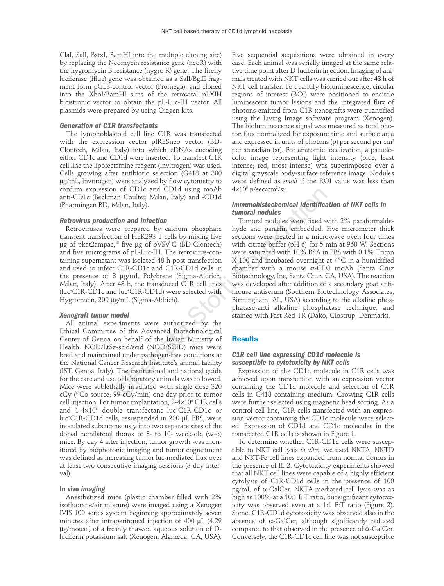ClaI, SalI, BstxI, BamHI into the multiple cloning site) by replacing the Neomycin resistance gene (neoR) with the hygromycin B resistance (hygro R) gene. The firefly luciferase (ffluc) gene was obtained as a SalI/BglII fragment form pGL3-control vector (Promega), and cloned into the XhoI/BamHI sites of the retroviral pLXIH bicistronic vector to obtain the pL-Luc-IH vector. All plasmids were prepared by using Qiagen kits.

## *Generation of C1R transfectants*

The lymphoblastoid cell line C1R was transfected with the expression vector pIRESneo vector (BD-Clontech, Milan, Italy) into which cDNAs encoding either CD1c and CD1d were inserted. To transfect C1R cell line the lipofectamine reagent (Invitrogen) was used. Cells growing after antibiotic selection (G418 at 300 µg/mL, Invitrogen) were analyzed by flow cytometry to confirm expression of CD1c and CD1d using moAb anti-CD1c (Beckman Coulter, Milan, Italy) and -CD1d (Pharmingen BD, Milan, Italy).

#### *Retrovirus production and infection*

Retroviruses were prepared by calcium phosphate transient transfection of HEK293 T cells by mixing five  $\mu$ g of pkat2ampac,<sup>18</sup> five  $\mu$ g of pVSV-G (BD-Clontech) and five micrograms of pL-Luc-IH. The retrovirus-containing supernatant was isolated 48 h post-transfection and used to infect C1R-CD1c and C1R-CD1d cells in the presence of 8 µg/mL Polybrene (Sigma-Aldrich, Milan, Italy). After 48 h, the transduced C1R cell lines (luc+ C1R-CD1c and luc+ C1R-CD1d) were selected with Hygromicin, 200 µg/mL (Sigma-Aldrich).

#### *Xenograft tumor model*

All animal experiments were authorized by the Ethical Committee of the Advanced Biotechnological Center of Genoa on behalf of the Italian Ministry of Health. NOD/LtSz-scid/scid (NOD/SCID) mice were bred and maintained under pathogen-free conditions at the National Cancer Research Institute's animal facility (IST, Genoa, Italy). The institutional and national guide for the care and use of laboratory animals was followed. Mice were sublethally irradiated with single dose 320 cGy (60Co source; 99 cGy/min) one day prior to tumor cell injection. For tumor implantation, 2-4×10<sup>6</sup> C1R cells and 1-4×106 double transfectant luc+ C1R-CD1c or luc+ C1R-CD1d cells, resuspended in 200 µL PBS, were inoculated subcutaneously into two separate sites of the dorsal hemilateral thorax of 8- to 10- week-old (w-o) mice. By day 4 after injection, tumor growth was monitored by biophotonic imaging and tumor engraftment was defined as increasing tumor luc-mediated flux over at least two consecutive imaging sessions (3-day interval).

## **In vivo** *imaging*

Anesthetized mice (plastic chamber filled with 2% isofluorane/air mixture) were imaged using a Xenogen IVIS 100 series system beginning approximately seven minutes after intraperitoneal injection of 400 µL (4.29 µg/mouse) of a freshly thawed aqueous solution of Dluciferin potassium salt (Xenogen, Alameda, CA, USA).

Five sequential acquisitions were obtained in every case. Each animal was serially imaged at the same relative time point after D-luciferin injection. Imaging of animals treated with NKT cells was carried out after 48 h of NKT cell transfer. To quantify bioluminescence, circular regions of interest (ROI) were positioned to encircle luminescent tumor lesions and the integrated flux of photons emitted from C1R xenografts were quantified using the Living Image software program (Xenogen). The bioluminescence signal was measured as total photon flux normalized for exposure time and surface area and expressed in units of photons (p) per second per  $cm<sup>2</sup>$ per steradian (sr). For anatomic localization, a pseudocolor image representing light intensity (blue, least intense; red, most intense) was superimposed over a digital grayscale body-surface reference image. Nodules were defined as *small* if the ROI value was less than  $4\times10^5$  p/sec/cm $^2$ /sr.

## *Immunohistochemical identification of NKT cells in tumoral nodules*

Tumoral nodules were fixed with 2% paraformaldehyde and paraffin embedded. Five micrometer thick sections were treated in a microwave oven four times with citrate buffer (pH 6) for 5 min at 960 W. Sections were saturated with 10% BSA in PBS with 0.1% Triton X-100 and incubated overnight at 4°C in a humidified chamber with a mouse α-CD3 moAb (Santa Cruz Biotechnology, Inc, Santa Cruz. CA, USA). The reaction was developed after addition of a secondary goat antimouse antiserum (Southern Biotechnology Associates, Birmingham, AL, USA) according to the alkaline phosphatase-anti alkaline phosphatase technique, and stained with Fast Red TR (Dako, Glostrup, Denmark). n or CDIc and CDId using moAb  $4 \times 10^7$  pisec/cm/sr.<br>
nan Coulter, Milan, Italy) and -CDId<br>
Milan, Italy). **Immunohistochemical identifica**<br>
tion and infection<br>  $\frac{1}{2}$ ,<sup>14</sup> five ug of pVSV-G (BD-Clontech) with circula

#### **Results**

## *C1R cell line expressing CD1d molecule is susceptible to cytotoxicity by NKT cells*

Expression of the CD1d molecule in C1R cells was achieved upon transfection with an expression vector containing the CD1d molecule and selection of C1R cells in G418 containing medium. Growing C1R cells were further selected using magnetic bead sorting. As a control cell line, C1R cells transfected with an expression vector containing the CD1c molecule were selected. Expression of CD1d and CD1c molecules in the transfected C1R cells is shown in Figure 1.

To determine whether C1R-CD1d cells were susceptible to NKT cell lysis *in vitro*, we used NKTA, NKTD and NKT-Fe cell lines expanded from normal donors in the presence of IL-2. Cytotoxicity experiments showed that all NKT cell lines were capable of a highly efficient cytolysis of C1R-CD1d cells in the presence of 100 ng/mL of α-GalCer. NKTA-mediated cell lysis was as high as 100% at a 10:1 E:T ratio, but significant cytotoxicity was observed even at a 1:1 E:T ratio (Figure 2). Some, C1R-CD1d cytotoxicity was observed also in the absence of  $\alpha$ -GalCer, although significantly reduced compared to that observed in the presence of  $\alpha$ -GalCer. Conversely, the C1R-CD1c cell line was not susceptible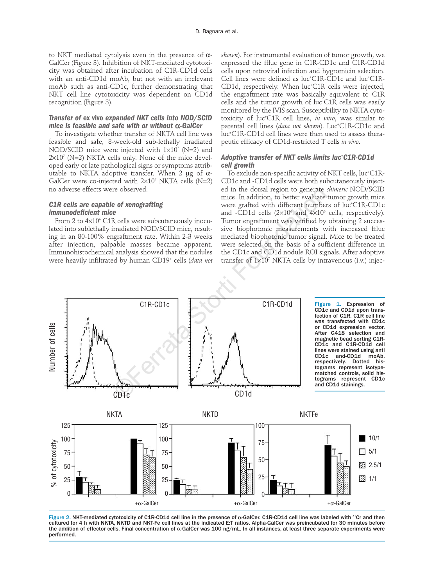to NKT mediated cytolysis even in the presence of α-GalCer (Figure 3). Inhibition of NKT-mediated cytotoxicity was obtained after incubation of C1R-CD1d cells with an anti-CD1d moAb, but not with an irrelevant moAb such as anti-CD1c, further demonstrating that NKT cell line cytotoxicity was dependent on CD1d recognition (Figure 3).

# *Transfer of* **ex vivo** *expanded NKT cells into NOD/SCID mice is feasible and safe with or without* α*-GalCer*

To investigate whether transfer of NKTA cell line was feasible and safe, 8-week-old sub-lethally irradiated NOD/SCID mice were injected with  $1\times10^{7}$  (N=2) and  $2\times10^{7}$  (N=2) NKTA cells only. None of the mice developed early or late pathological signs or symptoms attributable to NKTA adoptive transfer. When 2  $\mu$ g of  $\alpha$ -GalCer were co-injected with  $2\times10^7$  NKTA cells (N=2) no adverse effects were observed.

# *C1R cells are capable of xenografting immunodeficient mice*

From 2 to  $4\times10^{6}$  C1R cells were subcutaneously inoculated into sublethally irradiated NOD/SCID mice, resulting in an 80-100% engraftment rate. Within 2-3 weeks after injection, palpable masses became apparent. Immunohistochemical analysis showed that the nodules were heavily infiltrated by human CD19+ cells (*data not* *shown*). For instrumental evaluation of tumor growth, we expressed the ffluc gene in C1R-CD1c and C1R-CD1d cells upon retroviral infection and hygromicin selection. Cell lines were defined as luc+ C1R-CD1c and luc+ C1R-CD1d, respectively. When luc+ C1R cells were injected, the engraftment rate was basically equivalent to C1R cells and the tumor growth of luc+ C1R cells was easily monitored by the IVIS scan. Susceptibility to NKTA cytotoxicity of luc+ C1R cell lines, *in vitro*, was similar to parental cell lines (*data not shown*). Luc+ C1R-CD1c and luc+ C1R-CD1d cell lines were then used to assess therapeutic efficacy of CD1d-restricted T cells *in vivo*.

## *Adoptive transfer of NKT cells limits luc+ C1R-CD1d cell growth*

To exclude non-specific activity of NKT cells, luc+ C1R-CD1c and -CD1d cells were both subcutaneously injected in the dorsal region to generate *chimeric* NOD/SCID mice. In addition, to better evaluate tumor growth mice were grafted with different numbers of luc+ C1R-CD1c and -CD1d cells  $(2\times10^6$  and  $4\times10^6$  cells, respectively). Tumor engraftment was verified by obtaining 2 successive biophotonic measurements with increased ffluc mediated biophotonic tumor signal. Mice to be treated were selected on the basis of a sufficient difference in the CD1c and CD1d nodule ROI signals. After adoptive transfer of  $1\times10^7$  NKTA cells by intravenous (i.v.) injeced in the dorsal region to generate  $\alpha$  mice. In addition, to better evaluate<br>
were grafted with different number<br>
and -CD1d cells  $(2\times10^6$  and  $4\times10^6$ <br>
sly inocu-<br>
Tumor engraftment was verified by<br>
ce, result-<br>
siv



Figure 2. NKT-mediated cytotoxicity of C1R-CD1d cell line in the presence of α-GalCer. C1R-CD1d cell line was labeled with 51Cr and then cultured for 4 h with NKTA, NKTD and NKT-Fe cell lines at the indicated E:T ratios. Alpha-GalCer was preincubated for 30 minutes before the addition of effector cells. Final concentration of α-GalCer was 100 ng/mL. In all instances, at least three separate experiments were performed.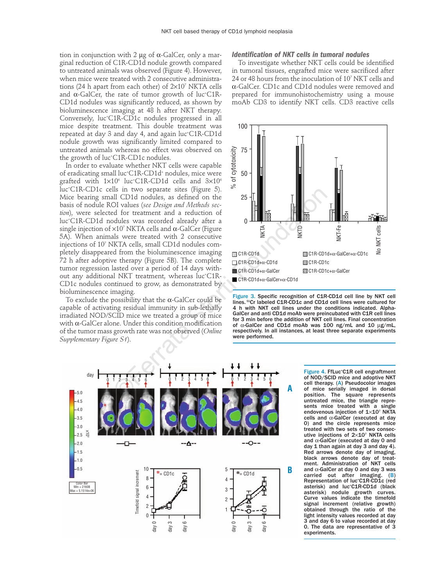tion in conjunction with 2 μg of  $α$ -GalCer, only a marginal reduction of C1R-CD1d nodule growth compared to untreated animals was observed (Figure 4). However, when mice were treated with 2 consecutive administrations (24 h apart from each other) of 2×107 NKTA cells and  $\alpha$ -GalCer, the rate of tumor growth of luc†C1R-CD1d nodules was significantly reduced, as shown by bioluminescence imaging at 48 h after NKT therapy. Conversely, luc+ C1R-CD1c nodules progressed in all mice despite treatment. This double treatment was repeated at day 3 and day 4, and again luc+ C1R-CD1d nodule growth was significantly limited compared to untreated animals whereas no effect was observed on the growth of luc+ C1R-CD1c nodules.

In order to evaluate whether NKT cells were capable of eradicating small luc\*C1R-CD1d\* nodules, mice were grafted with  $1 \times 10^6$  luc†C1R-CD1d cells and 3 $\times 10^6$ luc+ C1R-CD1c cells in two separate sites (Figure 5). Mice bearing small CD1d nodules, as defined on the basis of nodule ROI values (*see Design and Methods section*), were selected for treatment and a reduction of luc+ C1R-CD1d nodules was recorded already after a single injection of  $\times 10^7$  NKTA cells and  $\alpha$ -GalCer (Figure 5A). When animals were treated with 2 consecutive injections of 107 NKTA cells, small CD1d nodules completely disappeared from the bioluminescence imaging 72 h after adoptive therapy (Figure 5B). The complete tumor regression lasted over a period of 14 days without any additional NKT treatment, whereas luc+ C1R-CD1c nodules continued to grow, as demonstrated by bioluminescence imaging. Is in two separate sites (rigure 5).<br>
<br>
all CD14 nodules, as defined on the<br>
OI values (see Design and Methods sec-<br>
25<br>
The Constant and a reduction of<br>
x10' NKTA cells and  $\alpha$ -GalCer (Figure<br>
<br>
als were treated with 2

To exclude the possibility that the  $\alpha$ -GalCer could be capable of activating residual immunity in sub-lethally irradiated NOD/SCID mice we treated a group of mice with  $\alpha$ -GalCer alone. Under this condition modification of the tumor mass growth rate was not observed (*Online Supplementary Figure S1*).

#### *Identification of NKT cells in tumoral nodules*

To investigate whether NKT cells could be identified in tumoral tissues, engrafted mice were sacrificed after 24 or 48 hours from the inoculation of 107 NKT cells and α-GalCer. CD1c and CD1d nodules were removed and prepared for immunohistochemistry using a mouse moAb CD3 to identify NKT cells. CD3 reactive cells



Figure 3. Specific recognition of C1R-CD1d cell line by NKT cell lines. 51Cr labeled C1R-CD1c and CD1d cell lines were cultured for 4 h with NKT cell lines under the conditions indicated. Alpha-GalCer and anti CD1d moAb were preincubated with C1R cell lines for 3 min before the addition of NKT cell lines. Final concentration of α-GalCer and CD1d moAb was 100 ng/mL and 10 µg/mL, respectively. In all instances, at least three separate experiments were performed.



Figure 4. FfLuc<sup>+</sup>C1R cell engraftment of NOD/SCID mice and adoptive NKT cell therapy. (A) Pseudocolor images of mice serially imaged in dorsal position. The square represents untreated mice, the triangle represents mice treated with a single endovenous injection of  $1\times10^7$  NKTA cells and α-GalCer (executed at day 0) and the circle represents mice treated with two sets of two consecutive injections of  $2\times10^7$  NKTA cells and α-GalCer (executed at day 0 and day 1 than again at day 3 and day 4). Red arrows denote day of imaging, black arrows denote day of treatment. Administration of NKT cells and α-GalCer at day 0 and day 3 was carried out after imaging. (B) Representation of luc+ C1R-CD1c (red asterisk) and luc<sup>+</sup>C1R-CD1d (black asterisk) nodule growth curves. Curve values indicate the timefold signal increment (relative growth) obtained through the ratio of the light intensity values recorded at day 3 and day 6 to value recorded at day 0. The data are representative of 3 experiments.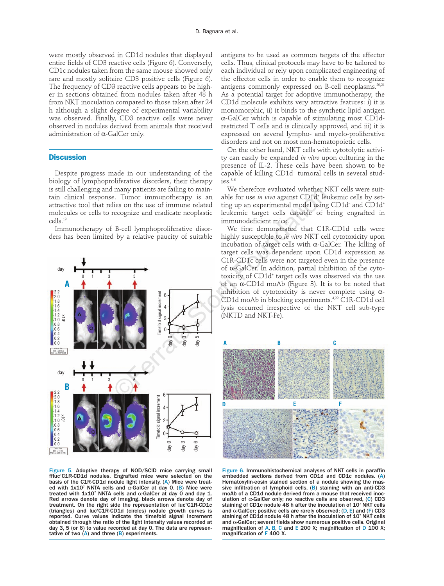were mostly observed in CD1d nodules that displayed entire fields of CD3 reactive cells (Figure 6). Conversely, CD1c nodules taken from the same mouse showed only rare and mostly solitaire CD3 positive cells (Figure 6). The frequency of CD3 reactive cells appears to be higher in sections obtained from nodules taken after 48 h from NKT inoculation compared to those taken after 24 h although a slight degree of experimental variability was observed. Finally, CD3 reactive cells were never observed in nodules derived from animals that received administration of α-GalCer only.

#### **Discussion**

Despite progress made in our understanding of the biology of lymphoproliferative disorders, their therapy is still challenging and many patients are failing to maintain clinical response. Tumor immunotherapy is an attractive tool that relies on the use of immune related molecules or cells to recognize and eradicate neoplastic cells.19

Immunotherapy of B-cell lymphoproliferative disorders has been limited by a relative paucity of suitable



Figure 5. Adoptive therapy of NOD/SCID mice carrying small ffluc+ C1R-CD1d nodules. Engrafted mice were selected on the basis of the C1R-CD1d nodule light intensity. (A) Mice were treated with  $1x10^7$  NKTA cells and  $\alpha$ -GalCer at day 0. (B) Mice were treated with  $1x10^7$  NKTA cells and  $\alpha$ -GalCer at day 0 and day 1. Red arrows denote day of imaging, black arrows denote day of treatment. On the right side the representation of luc+ C1R-CD1c (triangles) and luc+ C1R-CD1d (circles) nodule growth curves is reported. Curve values indicate the timefold signal increment obtained through the ratio of the light intensity values recorded at day 3, 5 (or 6) to value recorded at day 0. The data are representative of two  $(A)$  and three  $(B)$  experiments.

antigens to be used as common targets of the effector cells. Thus, clinical protocols may have to be tailored to each individual or rely upon complicated engineering of the effector cells in order to enable them to recognize antigens commonly expressed on B-cell neoplasms.<sup>20,21</sup> As a potential target for adoptive immunotherapy, the CD1d molecule exhibits very attractive features: i) it is monomorphic, ii) it binds to the synthetic lipid antigen α-GalCer which is capable of stimulating most CD1drestricted T cells and is clinically approved, and iii) it is expressed on several lympho- and myelo-proliferative disorders and not on most non-hematopoietic cells.

On the other hand, NKT cells with cytotolytic activity can easily be expanded *in vitro* upon culturing in the presence of IL-2. These cells have been shown to be capable of killing CD1d<sup>+</sup> tumoral cells in several stud $i$ es. $3 -$ 

We therefore evaluated whether NKT cells were suitable for use *in vivo* against CD1d<sup>+</sup> leukemic cells by setting up an experimental model using CD1d– and CD1d+ leukemic target cells capable of being engrafted in immunodeficient mice.

We first demonstrated that C1R-CD1d cells were highly susceptible to *in vitro* NKT cell cytotoxicity upon incubation of target cells with  $\alpha$ -GalCer. The killing of target cells was dependent upon CD1d expression as C1R-CD1c cells were not targeted even in the presence of α-GalCer. In addition, partial inhibition of the cytotoxicity of CD1d<sup>+</sup> target cells was observed via the use of an α-CD1d moAb (Figure 3). It is to be noted that inhibition of cytotoxicity is never complete using  $\alpha$ -CD1d moAb in blocking experiments.4,22 C1R-CD1d cell lysis occurred irrespective of the NKT cell sub-type (NKTD and NKT-Fe).



Figure 6. Immunohistochemical analyses of NKT cells in paraffin embedded sections derived from CD1d and CD1c nodules. (A) Hematoxylin-eosin stained section of a nodule showing the massive infiltration of lymphoid cells, (B) staining with an anti-CD3 moAb of a CD1d nodule derived from a mouse that received inoculation of  $\alpha$ -GalCer only; no reactive cells are observed, (C) CD3 staining of CD1c nodule 48 h after the inoculation of 107 NKT cells and  $\alpha$ -GalCer; positive cells are rarely observed; (D, E) and (F) CD3 staining of CD1d nodule 48 h after the inoculation of 107 NKT cells and α-GalCer; several fields show numerous positive cells. Original magnification of A, B, C and E 200 X; magnification of D 100 X; magnification of F 400 X.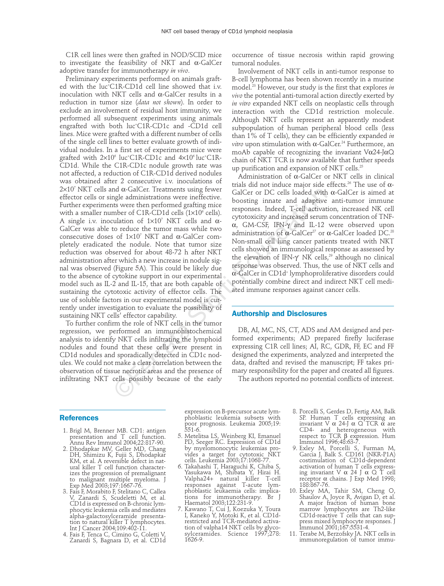C1R cell lines were then grafted in NOD/SCID mice to investigate the feasibility of NKT and α-GalCer adoptive transfer for immunotherapy *in vivo*.

Preliminary experiments performed on animals grafted with the luc+ C1R-CD1d cell line showed that i.v. inoculation with NKT cells and α-GalCer results in a reduction in tumor size (*data not shown*). In order to exclude an involvement of residual host immunity, we performed all subsequent experiments using animals engrafted with both luc+ C1R-CD1c and -CD1d cell lines. Mice were grafted with a different number of cells of the single cell lines to better evaluate growth of individual nodules. In a first set of experiments mice were grafted with 2×106 luc+ C1R-CD1c and 4×106 luc+ C1R-CD1d. While the C1R-CD1c nodule growth rate was not affected, a reduction of C1R-CD1d derived nodules was obtained after 2 consecutive i.v. inoculations of  $2\times10^7$  NKT cells and  $\alpha$ -GalCer. Treatments using fewer effector cells or single administrations were ineffective. Further experiments were then performed grafting mice with a smaller number of C1R-CD1d cells  $(1\times10^6 \text{ cells})$ . A single i.v. inoculation of  $1\times10^7$  NKT cells and  $\alpha$ -GalCer was able to reduce the tumor mass while two consecutive doses of 1×107 NKT and α-GalCer completely eradicated the nodule. Note that tumor size reduction was observed for about 48-72 h after NKT administration after which a new increase in nodule signal was observed (Figure 5A). This could be likely due to the absence of cytokine support in our experimental model such as IL-2 and IL-15, that are both capable of sustaining the cytotoxic activity of effector cells. The use of soluble factors in our experimental model is currently under investigation to evaluate the possibility of sustaining NKT cells' effector capability. ma  $\alpha$ -Galcer in reatments using tewer<br>magne administrations were ineffective. GalCer or DC cells loaded with<br>ts were then performed grafting mice boosting inneate and adaptive<br>there of CIR-CD1d cells (1×10<sup>o</sup> cells). re

To further confirm the role of NKT cells in the tumor regression, we performed an immunohistochemical analysis to identify NKT cells infiltrating the lymphoid nodules and found that these cells were present in CD1d nodules and sporadically detected in CD1c nodules. We could not make a clear correlation between the observation of tissue necrotic areas and the presence of infiltrating NKT cells possibly because of the early

occurrence of tissue necrosis within rapid growing tumoral nodules.

Involvement of NKT cells in anti-tumor response to B-cell lymphoma has been shown recently in a murine model.23 However, our study is the first that explores *in vivo* the potential anti-tumoral action directly exerted by *in vitro* expanded NKT cells on neoplastic cells through interaction with the CD1d restriction molecule. Although NKT cells represent an apparently modest subpopulation of human peripheral blood cells (less than 1% of T cells), they can be efficiently expanded *in vitro* upon stimulation with α-GalCer. <sup>24</sup> Furthermore, an moAb capable of recognizing the invariant V $\alpha$ 24-J $\alpha$ Q chain of NKT TCR is now available that further speeds up purification and expansion of NKT cells.<sup>25</sup>

Administration of α-GalCer or NKT cells in clinical trials did not induce major side effects.<sup>26</sup> The use of α-GalCer or DC cells loaded with α-GalCer is aimed at boosting innate and adaptive anti-tumor immune responses. Indeed, T-cell activation, increased NK cell cytotoxicity and increased serum concentration of TNFα, GM-CSF, IFN-γ and IL-12 were observed upon administration of  $\alpha$ -GalCer<sup>27</sup> or  $\alpha$ -GalCer loaded DC.<sup>28</sup> Non-small cell lung cancer patients treated with NKT cells showed an immunological response as assessed by the elevation of IFN-γ<sup>+</sup> NK cells,<sup>29</sup> although no clinical response was observed. Thus, the use of NKT cells and α-GalCer in CD1d+ lymphoproliferative disorders could potentially combine direct and indirect NKT cell mediated immune responses against cancer cells.

#### **Authorship and Disclosures**

DB, AI, MC, NS, CT, ADS and AM designed and performed experiments; AD prepared firefly luciferase expressing C1R cell lines; AI, RC, GDR, FF, EC and FF designed the experiments, analyzed and interpreted the data, drafted and revised the manuscript; FF takes primary responsibility for the paper and created all figures.

The authors reported no potential conflicts of interest.

## **References**

- 1. Brigl M, Brenner MB. CD1: antigen presentation and T cell function. Annu Rev Immunol 2004;22:817-90.
- 2. Dhodapkar MV, Geller MD, Chang DH, Shimizu K, Fujii S, Dhodapkar KM, et al. A reversible defect in natural killer T cell function characterizes the progression of premalignant to malignant multiple myeloma. J Exp Med 2003;197:1667-76.
- 3. Fais F, Morabito F, Stelitano C, Callea V, Zanardi S, Scudeletti M, et al. CD1d is expressed on B-chronic lymphocytic leukemia cells and mediates alpha-galactosylceramide presentation to natural killer T lymphocytes. Int J Cancer 2004;109:402-11.
- 4. Fais F, Tenca C, Cimino G, Coletti V, Zanardi S, Bagnara D, et al. CD1d

expression on B-precursor acute lymphoblastic leukemia subsets with poor prognosis. Leukemia 2005;19: 551-6.

- 5. Metelitsa LS, Weinberg KI, Emanuel PD, Seeger RC. Expression of CD1d by myelomonocytic leukemias provides a target for cytotoxic NKT cells. Leukemia 2003;17:1068-77.
- 6. Takahashi T, Haraguchi K, Chiba S, Yasukawa M, Shibata Y, Hirai H. Valpha24+ natural killer T-cell responses against T-acute lymphoblastic leukaemia cells: implications for immunotherapy. Br J Haematol 2003;122:231-9.
- 7. Kawano T, Cui J, Koezuka Y, Toura I, Kaneko Y, Motoki K, et al. CD1drestricted and TCR-mediated activation of valpha14 NKT cells by glycosylceramides. Science 1997;278: 1626-9.
- 8. Porcelli S, Gerdes D, Fertig AM, Balk SP. Human T cells expressing an invariant V α 24-J α Q TCR α are CD4- and heterogeneous with respect to TCR β expression. Hum Immunol 1996;48:63-7.
- 9. Exley M, Porcelli S, Furman M, Garcia J, Balk S. CD161 (NKR-P1A) costimulation of CD1d-dependent activation of human T cells express-ing invariant V α 24 J α Q T cell receptor α chains. J Exp Med 1998; 188:867-76.
- 10. Exley MA, Tahir SM, Cheng O, Shaulov A, Joyce R, Avigan D, et al. A major fraction of human bone marrow lymphocytes are Th2-like CD1d-reactive T cells that can suppress mixed lymphocyte responses. J Immunol 2001;167:5531-4.
- 11. Terabe M, Berzofsky JA. NKT cells in immunoregulation of tumor immu-